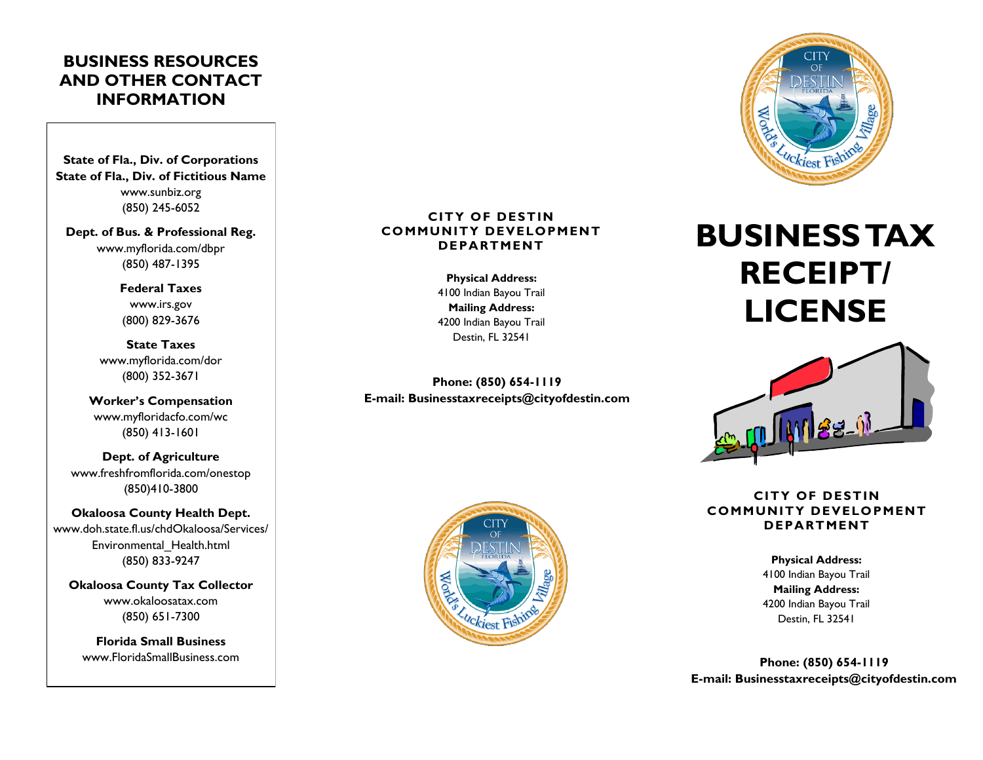## **BUSINESS RESOURCES AND OTHER CONTACT INFORMATION**

**State of Fla., Div. of Corporations State of Fla., Div. of Fictitious Name** www.sunbiz.org (850) 245-6052

**Dept. of Bus. & Professional Reg.** www.myflorida.com/dbpr (850) 487-1395

> **Federal Taxes** www.irs.gov (800) 829-3676

**State Taxes** www.myflorida.com/dor (800) 352-3671

**Worker's Compensation** www.myfloridacfo.com/wc (850) 413-1601

**Dept. of Agriculture** www.freshfromflorida.com/onestop (850)410-3800

**Okaloosa County Health Dept.** www.doh.state.fl.us/chdOkaloosa/Services/ Environmental\_Health.html (850) 833-9247

**Okaloosa County Tax Collector** www.okaloosatax.com (850) 651-7300

**Florida Small Business** www.FloridaSmallBusiness.com

## **CITY OF DESTIN COMMUNITY DEVELOPMENT DEPARTMENT**

**Physical Address:** 4100 Indian Bayou Trail **Mailing Address:** 4200 Indian Bayou Trail Destin, FL 32541

**Phone: (850) 654-1119 E-mail: Businesstaxreceipts@cityofdestin.com**





# **BUSINESS TAX RECEIPT/ LICENSE**



## **CITY OF DESTIN COMMUNITY DEVELOPMENT DEPARTMENT**

**Physical Address:** 4100 Indian Bayou Trail **Mailing Address:** 4200 Indian Bayou Trail Destin, FL 32541

**Phone: (850) 654-1119 E-mail: Businesstaxreceipts@cityofdestin.com**